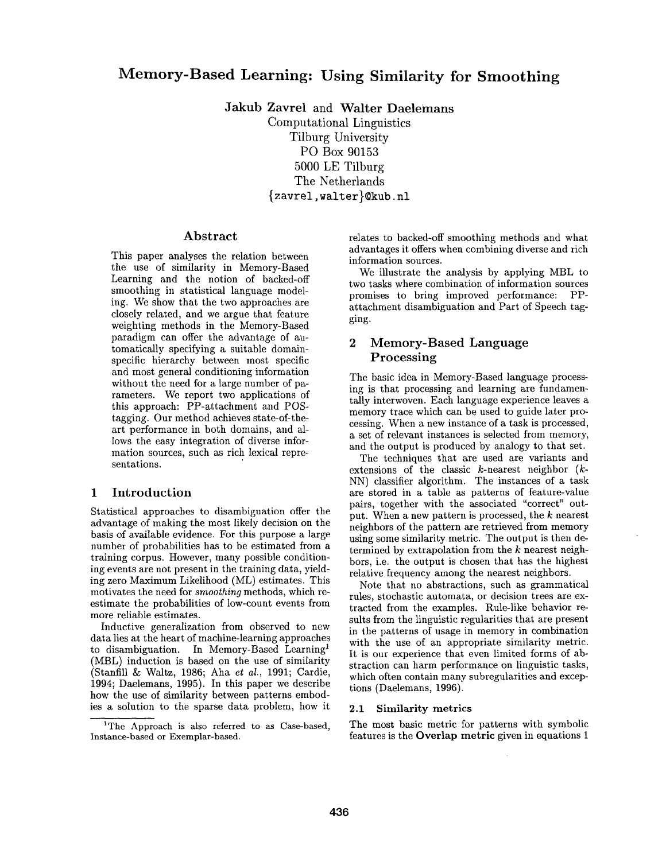# **Memory-Based Learning: Using Similarity for Smoothing**

Jakub Zavrel and Walter **Daelemans** 

Computational Linguistics Tilburg University PO Box 90153 5000 LE Tilburg The Netherlands {zavrel, walt er}@kub, nl

### Abstract

This paper analyses the relation between the use of similarity in Memory-Based Learning and the notion of backed-off smoothing in statistical language modeling. We show that the two approaches are closely related, and we argue that feature weighting methods in the Memory-Based paradigm can offer the advantage of automatically specifying a suitable domainspecific hierarchy between most specific and most general conditioning information without the need for a large number of parameters. We report two applications of this approach: PP-attachment and POStagging. Our method achieves state-of-theart performance in both domains, and allows the easy integration of diverse information sources, such as rich lexical representations.

### **1 Introduction**

Statistical approaches to disambiguation offer the advantage of making the most likely decision on the basis of available evidence. For this purpose a large number of probabilities has to be estimated from a training corpus. However, many possible conditioning events are not present in the training data, yielding zero Maximum Likelihood (ML) estimates. This motivates the need for *smoothing* methods, which reestimate the probabilities of low-count events from more reliable estimates.

Inductive generalization from observed to new data lies at the heart of machine-learning approaches to disambiguation. In Memory-Based Learning<sup>1</sup> (MBL) induction is based on the use of similarity (Stanfill & Waltz, 1986; Aha *et al.,* 1991; Cardie, 1994; Daelemans, 1995). In this paper we describe how the use of similarity between patterns embodies a solution to the sparse data problem, how it relates to backed-off smoothing methods and what advantages it offers when combining diverse and rich information sources.

We illustrate the analysis by applying MBL to two tasks where combination of information sources promises to bring improved performance: PPattachment disambiguation and Part of Speech tagging.

## 2 Memory-Based **Language Processing**

The basic idea in Memory-Based language processing is that processing and learning are fundamentally interwoven. Each language experience leaves a memory trace which can be used to guide later processing. When a new instance of a task is processed, a set of relevant instances is selected from memory, and the output is produced by analogy to that set.

The techniques that are used are variants and extensions of the classic k-nearest neighbor (k-NN) classifier algorithm. The instances of a task are stored in a table as patterns of feature-value pairs, together with the associated "correct" output. When a new pattern is processed, the k nearest neighbors of the pattern are retrieved from memory using some similarity metric. The output is then determined by extrapolation from the  $k$  nearest neighbors, i.e. the output is chosen that has the highest relative frequency among the nearest neighbors.

Note that no abstractions, such as grammatical rules, stochastic automata, or decision trees are extracted from the examples. Rule-like behavior results from the linguistic regularities that are present in the patterns of usage in memory in combination with the use of an appropriate similarity metric. It is our experience that even limited forms of abstraction can harm performance on linguistic tasks, which often contain many subregularities and exceptions (Daelemans, 1996).

#### **2.1 Similarity metrics**

The most basic metric for patterns with symbolic features is the Overlap metric given in equations 1

<sup>&</sup>lt;sup>1</sup>The Approach is also referred to as Case-based, Instance-based or Exemplar-based.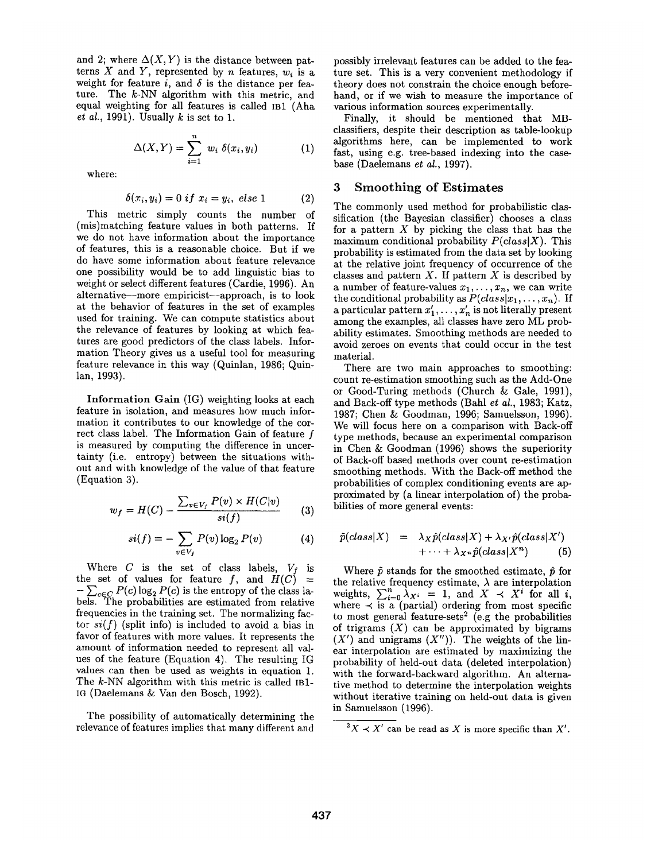and 2; where  $\Delta(X, Y)$  is the distance between patterns X and Y, represented by n features,  $w_i$  is a weight for feature i, and  $\delta$  is the distance per feature. The k-NN algorithm with this metric, and equal weighting for all features is called IB1 (Aha *et al.,* 1991). Usually k is set to 1.

$$
\Delta(X,Y) = \sum_{i=1}^{n} w_i \delta(x_i, y_i)
$$
 (1)

where:

$$
\delta(x_i, y_i) = 0 \text{ if } x_i = y_i, \text{ else } 1 \tag{2}
$$

This metric simply counts the number of (mis)matching feature values in both patterns. If we do not have information about the importance of features, this is a reasonable choice. But if we do have some information about feature relevance one possibility would be to add linguistic bias to weight or select different features (Cardie, 1996). An alternative--more empiricist--approach, is to look at the behavior of features in the set of examples used for training. We can compute statistics about the relevance of features by looking at which features are good predictors of the class labels. Information Theory gives us a useful tool for measuring feature relevance in this way (Quinlan, 1986; Quinlan, 1993).

Information Gain (IG) weighting looks at each feature in isolation, and measures how much information it contributes to our knowledge of the correct class label. The Information Gain of feature f is measured by computing the difference in uncertainty (i.e. entropy) between the situations without and with knowledge of the value of that feature (Equation 3).

$$
w_f = H(C) - \frac{\sum_{v \in V_f} P(v) \times H(C|v)}{si(f)}
$$
 (3)

$$
si(f) = -\sum_{v \in V_f} P(v) \log_2 P(v) \tag{4}
$$

Where  $C$  is the set of class labels,  $V_f$  is the set of values for feature f, and  $H(C)$  =  $-\sum_{c\in C} P(c) \log_2 P(c)$  is the entropy of the class labels. The probabilities are estimated from relative frequencies in the training set. The normalizing factor  $si(f)$  (split info) is included to avoid a bias in favor of features with more values. It represents the amount of information needed to represent all values of the feature (Equation 4). The resulting IG values can then be used as weights in equation 1. The  $k$ -NN algorithm with this metric is called  $IB1$ -IG (Daelemans & Van den Bosch, 1992).

The possibility of automatically determining the relevance of features implies that many different and possibly irrelevant features can be added to the feature set. This is a very convenient methodology if theory does not constrain the choice enough beforehand, or if we wish to measure the importance of various information sources experimentally.

Finally, it should be mentioned that MBclassifiers, despite their description as table-lookup algorithms here, can be implemented to work fast, using e.g. tree-based indexing into the casebase (Daelemans *et al.,* 1997).

## **3 Smoothing of Estimates**

The commonly used method for probabilistic classification (the Bayesian classifier) chooses a class for a pattern  $X$  by picking the class that has the maximum conditional probability *P(classlX ).* This probability is estimated from the data set by looking at the relative joint frequency of occurrence of the classes and pattern  $X$ . If pattern  $X$  is described by a number of feature-values  $x_1, \ldots, x_n$ , we can write the conditional probability as  $P(class|x_1, \ldots, x_n)$ . If a particular pattern  $x'_1, \ldots, x'_n$  is not literally present among the examples, all classes have zero ML probability estimates. Smoothing methods are needed to avoid zeroes on events that could occur in the test material.

There are two main approaches to smoothing: count re-estimation smoothing such as the Add-One or Good-Turing methods (Church & Gale, 1991), and Back-off type methods (Bahl *et al.,* 1983; Katz, 1987; Chen & Goodman, 1996; Samuelsson, 1996). We will focus here on a comparison with Back-off type methods, because an experimental comparison in Chen & Goodman (1996) shows the superiority of Back-off based methods over count re-estimation smoothing methods. With the Back-off method the probabilities of complex conditioning events are approximated by (a linear interpolation of) the probabilities of more general events:

$$
\tilde{p}(class|X) = \lambda_X \hat{p}(class|X) + \lambda_{X'} \hat{p}(class|X')
$$
  
 
$$
+ \cdots + \lambda_{X^n} \hat{p}(class|X^n)
$$
 (5)

Where  $\tilde{p}$  stands for the smoothed estimate,  $\hat{p}$  for the relative frequency estimate,  $\lambda$  are interpolation weights,  $\sum_{i=0}^{n} \lambda_{X^{i}} = 1$ , and  $X \prec X^{i}$  for all i, where  $\prec$  is a (partial) ordering from most specific to most general feature-sets<sup>2</sup> (e.g the probabilities of trigrams  $(X)$  can be approximated by bigrams  $(X')$  and unigrams  $(X'')$ ). The weights of the linear interpolation are estimated by maximizing the probability of held-out data (deleted interpolation) with the forward-backward algorithm. An alternative method to determine the interpolation weights without iterative training on held-out data is given in Samuelsson (1996).

 $2X \prec X'$  can be read as X is more specific than X'.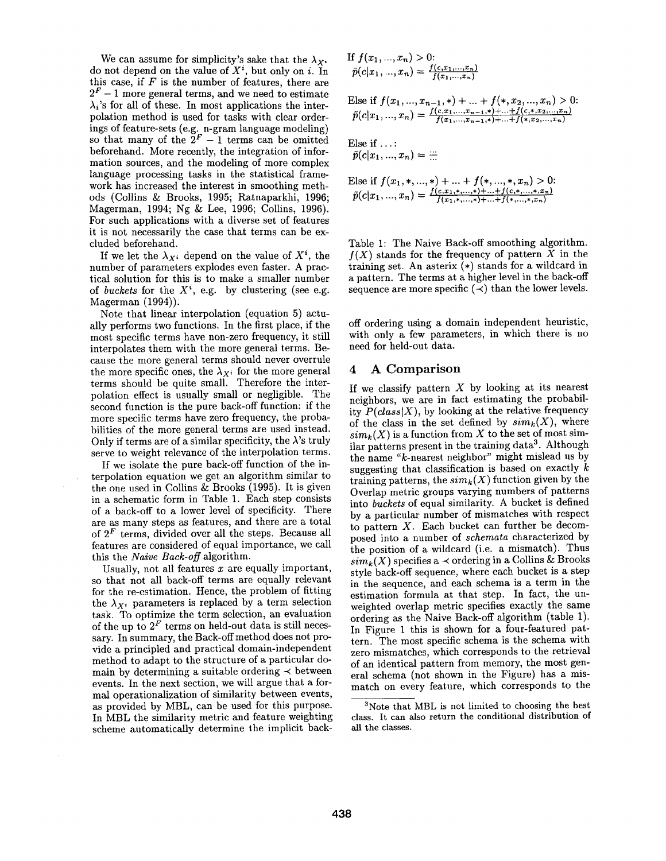We can assume for simplicity's sake that the  $\lambda_{X_i}$ do not depend on the value of  $X^i$ , but only on i. In this case, if  $F$  is the number of features, there are  $2<sup>F</sup> - 1$  more general terms, and we need to estimate  $\lambda_i$ 's for all of these. In most applications the interpolation method is used for tasks with clear orderings of feature-sets (e.g. n-gram language modeling) so that many of the  $2<sup>F</sup> - 1$  terms can be omitted beforehand. More recently, the integration of information sources, and the modeling of more complex language processing tasks in the statistical framework has increased the interest in smoothing methods (Collins & Brooks, 1995; Ratnaparkhi, 1996; Magerman, 1994; Ng & Lee, 1996; Collins, 1996). For such applications with a diverse set of features it is not necessarily the case that terms can be excluded beforehand.

If we let the  $\lambda_{X}$  depend on the value of  $X^{i}$ , the number of parameters explodes even faster. A practical solution for this is to make a smaller number of *buckets* for the  $X^i$ , e.g. by clustering (see e.g. Magerman (1994)):

Note that linear interpolation (equation 5) actually performs two functions. In the first place, if the most specific terms have non-zero frequency, it still interpolates them with the more general terms. Because the more general terms should never overrule the more specific ones, the  $\lambda_{X^i}$  for the more general terms should be quite small. Therefore the interpolation effect is usually small or negligible. The second function is the pure back-off function: if the more specific terms have zero frequency, the probabilities of the more general terms are used instead. Only if terms are of a similar specificity, the  $\lambda$ 's truly serve to weight relevance of the interpolation terms.

If we isolate the pure back-off function of the interpolation equation we get an algorithm similar to the one used in Collins & Brooks (1995). It is given in a schematic form in Table 1. Each step consists of a back-off to a lower level of specificity. There are as many steps as features, and there are a total of  $2<sup>F</sup>$  terms, divided over all the steps. Because all features are considered of equal importance, we call this the *Naive Back-off* algorithm.

Usually, not all features  $x$  are equally important, so that not all back-off terms are equally relevant for the re-estimation. Hence, the problem of fitting the  $\lambda_{X^i}$  parameters is replaced by a term selection task. To optimize the term selection, an evaluation of the up to  $2<sup>F</sup>$  terms on held-out data is still necessary. In summary, the Back-off method does not provide a principled and practical domain-independent method to adapt to the structure of a particular domain by determining a suitable ordering  $\prec$  between events. In the next section, we will argue that a formal operationalization of similarity between events, as provided by MBL, can be used for this purpose. In MBL the similarity metric and feature weighting scheme automatically determine the implicit back-

If 
$$
f(x_1, ..., x_n) > 0
$$
:  
\n
$$
\tilde{p}(c|x_1, ..., x_n) = \frac{f(c, x_1, ..., x_n)}{f(x_1, ..., x_n)}
$$

Else if 
$$
f(x_1, ..., x_{n-1}, *) + ... + f(*, x_2, ..., x_n) > 0
$$
:  
\n
$$
\tilde{p}(c|x_1, ..., x_n) = \frac{f(c, x_1, ..., x_{n-1}, *) + ... + f(c, *, x_2, ..., x_n)}{f(x_1, ..., x_{n-1}, *) + ... + f(*, x_2, ..., x_n)}
$$

Else if ...  
\n
$$
\tilde{p}(c|x_1,...,x_n) = \dots
$$

Else if 
$$
f(x_1, \ldots, x) + \ldots + f(\ldots, x_n) > 0
$$
:  
\n
$$
\tilde{p}(c|x_1, \ldots, x_n) = \frac{f(c, x_1, \ldots, x) + \ldots + f(c, x, \ldots, x, x_n)}{f(x_1, \ldots, x) + \ldots + f(\ldots, x, x_n)}
$$

Table 1: The Naive Back-off smoothing algorithm.  $f(X)$  stands for the frequency of pattern  $\tilde{X}$  in the training set. An asterix (\*) stands for a wildcard in a pattern. The terms at a higher level in the back-off sequence are more specific  $(\prec)$  than the lower levels.

off ordering using a domain independent heuristic, with only a few parameters, in which there is no need for held-out data.

# **4 A Comparison**

If we classify pattern  $X$  by looking at its nearest neighbors, we are in fact estimating the probability  $P(class|X)$ , by looking at the relative frequency of the class in the set defined by  $sim_k(X)$ , where  $sim_k(X)$  is a function from X to the set of most similar patterns present in the training data<sup>3</sup>. Although the name "k-nearest neighbor" might mislead us by suggesting that classification is based on exactly  $k$ training patterns, the  $sim_k(X)$  function given by the Overlap metric groups varying numbers of patterns into *buckets* of equal similarity. A bucket is defined by a particular number of mismatches with respect to pattern  $X$ . Each bucket can further be decomposed into a number of *schemata* characterized by the position of a wildcard (i.e. a mismatch). Thus  $sim_k(X)$  specifies a  $\prec$  ordering in a Collins & Brooks style back-off sequence, where each bucket is a step in the sequence, and each schema is a term in the estimation formula at that step. In fact, the unweighted overlap metric specifies exactly the same ordering as the Naive Back-off algorithm (table 1). In Figure 1 this is shown for a four-featured pattern. The most specific schema is the schema with zero mismatches, which corresponds to the retrieval of an identical pattern from memory, the most general schema (not shown in the Figure) has a mismatch on every feature, which corresponds to the

<sup>&</sup>lt;sup>3</sup>Note that MBL is not limited to choosing the best class. It can also return the conditional distribution of all the classes.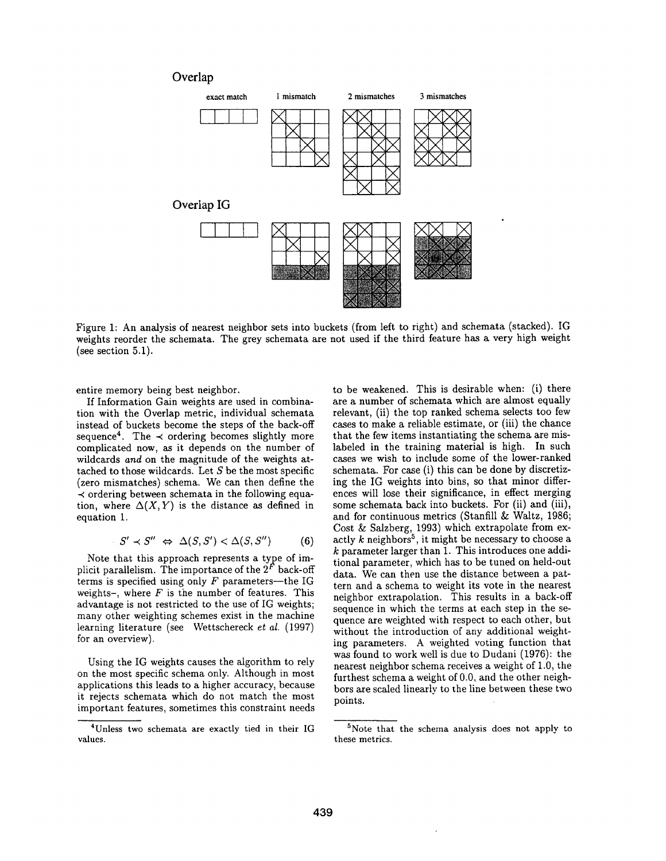#### Overlap



Figure 1: An analysis of nearest neighbor sets into buckets (from left to right) and schemata (stacked). IG weights reorder the schemata. The grey schemata are not used if the third feature has a very high weight (see section 5.1).

entire memory being best neighbor.

If Information Gain weights are used in combination with the Overlap metric, individual schemata instead of buckets become the steps of the back-off sequence<sup>4</sup>. The  $\prec$  ordering becomes slightly more complicated now, as it depends on the number of wildcards *and* on the magnitude of the weights attached to those wildcards. Let  $S$  be the most specific (zero mismatches) schema. We can then define the  $\prec$  ordering between schemata in the following equation, where  $\Delta(X, Y)$  is the distance as defined in equation 1.

$$
S' \prec S'' \Leftrightarrow \Delta(S, S') < \Delta(S, S'') \tag{6}
$$

Note that this approach represents a type of implicit parallelism. The importance of the  $2^F$  back-off terms is specified using only  $F$  parameters--the IG weights-, where  $F$  is the number of features. This advantage is not restricted to the use of IG weights; many other weighting schemes exist in the machine learning literature (see Wettschereck *et aL* (1997) for an overview).

Using the IG weights causes the algorithm to rely on the most specific schema only. Although in most applications this leads to a higher accuracy, because it rejects schemata which do not match the most important features, sometimes this constraint needs

to be weakened. This is desirable when: (i) there are a number of schemata which are almost equally relevant, (ii) the top ranked schema selects too few cases to make a reliable estimate, or (iii) the chance that the few items instantiating the schema are mislabeled in the training material is high. In such cases we wish to include some of the lower-ranked schemata. For case (i) this can be done by discretizing the IG weights into bins, so that minor differences will lose their significance, in effect merging some schemata back into buckets. For (ii) and (iii), and for continuous metrics (Stanfill & Waltz, 1986; Cost & Salzberg, 1993) which extrapolate from exactly  $k$  neighbors<sup>5</sup>, it might be necessary to choose a  $k$  parameter larger than 1. This introduces one additional parameter, which has to be tuned on held-out data. We can then use the distance between a pattern and a schema to weight its vote in the nearest neighbor extrapolation. This results in a back-off sequence in which the terms at each step in the sequence are weighted with respect to each other, but without the introduction of any additional weighting parameters. A weighted voting function that was found to work well is due to Dudani (1976): the nearest neighbor schema receives a weight of 1.0, the furthest schema a weight of 0.0, and the other neighbors are scaled linearly to the line between these two points.

<sup>4</sup>Unless two schemata are exactly tied in their IG values.

<sup>5</sup>Note that the schema analysis does not apply to these metrics.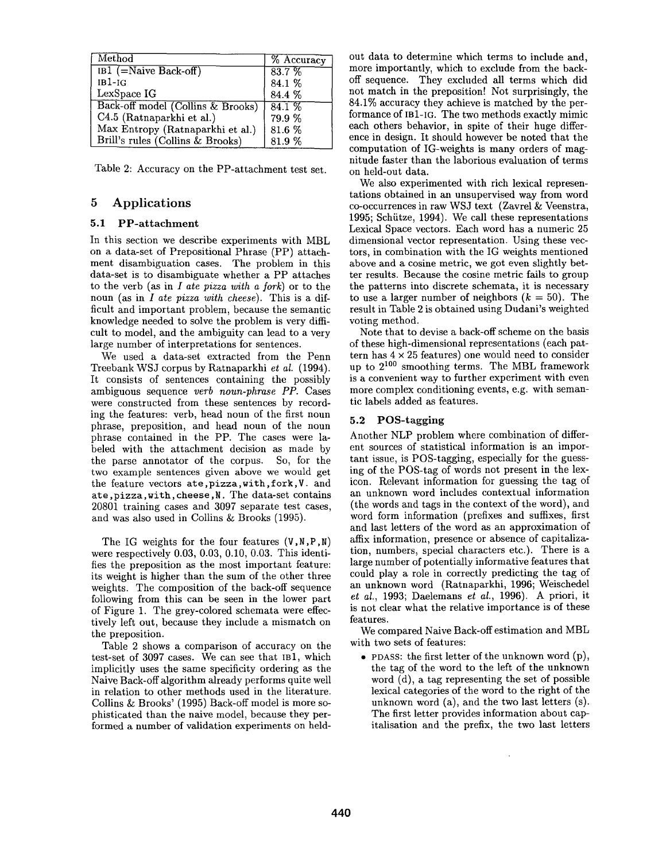| Method                            | $%$ Accuracy |
|-----------------------------------|--------------|
| $IB1$ (=Naive Back-off)           | 83.7%        |
| $IB1-IG$                          | 84.1 %       |
| LexSpace IG                       | 84.4 %       |
| Back-off model (Collins & Brooks) | $84.1\%$     |
| C4.5 (Ratnaparkhi et al.)         | 79.9 %       |
| Max Entropy (Ratnaparkhi et al.)  | 81.6 %       |
| Brill's rules (Collins & Brooks)  | 81.9 %       |

Table 2: Accuracy on the PP-attachment test set.

# 5 Applications

#### 5.1 PP-attachment

In this section we describe experiments with MBL on a data-set of Prepositional Phrase (PP) attachment disambiguation cases. The problem in this data-set is to disambiguate whether a PP attaches to the verb (as in *I ate pizza with a fork)* or to the noun (as in *I ate pizza with cheese).* This is a difficult and important problem, because the semantic knowledge needed to solve the problem is very difficult to model, and the ambiguity can lead to a very large number of interpretations for sentences.

We used a data-set extracted from the Penn Treebank WSJ corpus by Ratnaparkhi *et al.* (1994). It consists of sentences containing the possibly ambiguous sequence *verb noun-phrase PP.* Cases were constructed from these sentences by recording the features: verb, head noun of the first noun phrase, preposition, and head noun of the noun phrase contained in the PP. The cases were labeled with the attachment decision as made by the parse annotator of the corpus. So, for the two example sentences given above we would get the feature vectors ate,pizza,with,fork,V, and ate,pizza, with, cheese, N. The data-set contains 20801 training cases and 3097 separate test cases, and was also used in Collins & Brooks (1995).

The IG weights for the four features  $(V, N, P, N)$ were respectively 0.03, 0.03, 0.10, 0.03. This identifies the preposition as the most important feature: its weight is higher than the sum of the other three weights. The composition of the back-off sequence following from this can be seen in the lower part of Figure 1. The grey-colored schemata were effectively left out, because they include a mismatch on the preposition.

Table 2 shows a comparison of accuracy on the test-set of 3097 cases. We can see that Isl, which implicitly uses the same specificity ordering as the Naive Back-off algorithm already performs quite well in relation to other methods used in the literature. Collins & Brooks' (1995) Back-off model is more sophisticated than the naive model, because they performed a number of validation experiments on heldout data to determine which terms to include and, more importantly, which to exclude from the backoff sequence. They excluded all terms which did not match in the preposition! Not surprisingly, the 84.1% accuracy they achieve is matched by the performance of IBI-IG. The two methods exactly mimic each others behavior, in spite of their huge difference in design. It should however be noted that the computation of IG-weights is many orders of magnitude faster than the laborious evaluation of terms on held-out data.

We also experimented with rich lexical representations obtained in an unsupervised way from word co-occurrences in raw WSJ text (Zavrel & Veenstra, 1995; Schiitze, 1994). We call these representations Lexical Space vectors. Each word has a numeric 25 dimensional vector representation. Using these vectors, in combination with the IG weights mentioned above and a cosine metric, we got even slightly better results. Because the cosine metric fails to group the patterns into discrete schemata, it is necessary to use a larger number of neighbors  $(k = 50)$ . The result in Table 2 is obtained using Dudani's weighted voting method.

Note that to devise a back-off scheme on the basis of these high-dimensional representations (each pattern has  $4 \times 25$  features) one would need to consider up to  $2^{100}$  smoothing terms. The MBL framework is a convenient way to further experiment with even more complex conditioning events, e.g. with semantic labels added as features.

#### 5.2 POS-tagging

Another NLP problem where combination of different sources of statistical information is an important issue, is POS-tagging, especially for the guessing of the POS-tag of words not present in the lexicon. Relevant information for guessing the tag of an unknown word includes contextual information (the words and tags in the context of the word), and word form information (prefixes and suffixes, first and last letters of the word as an approximation of affix information, presence or absence of capitalization, numbers, special characters etc.). There is a large number of potentially informative features that could play a role in correctly predicting the tag of an unknown word (Ratnaparkhi, 1996; Weischedel *et al.,* 1993; Daelemans *et al.,* 1996). A priori, it is not clear what the relative importance is of these features.

We compared Naive Back-off estimation and MBL with two sets of features:

• PDASS: the first letter of the unknown word (p), the tag of the word to the left of the unknown word (d), a tag representing the set of possible lexical categories of the word to the right of the unknown word (a), and the two last letters (s). The first letter provides information about capitalisation and the prefix, the two last letters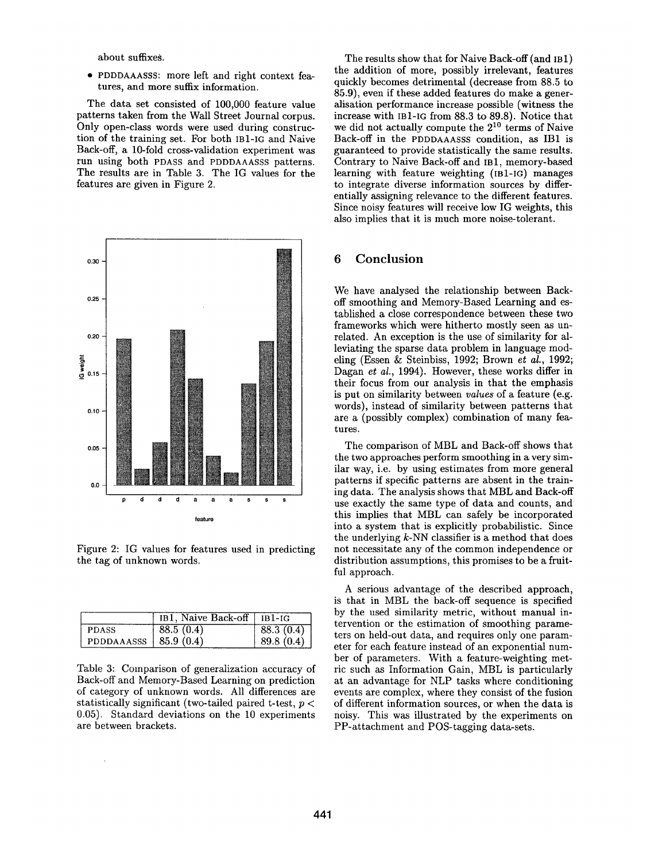about suffixes.

• PDDDAAASSS: more left and right context features, and more suffix information.

The data set consisted of 100,000 feature value patterns taken from the Wall Street Journal corpus. Only open-class words were used during construction of the training set. For both IBI-IG and Naive Back-off, a 10-fold cross-validation experiment was run using both PDASS and PDDDAAASSS patterns. The results are in Table 3. The IG values for the features are given in Figure 2.



Figure 2: IG values for features used in predicting the tag of unknown words.

|                          | IB1, Naive Back-off   IB1-IG |           |
|--------------------------|------------------------------|-----------|
| <b>PDASS</b>             | 88.5(0.4)                    | 88.3(0.4) |
| PDDDAAASSS   $85.9(0.4)$ |                              | 89.8(0.4) |

Table 3: Comparison of generalization accuracy of Back-off and Memory-Based Learning on prediction of category of unknown words. All differences are statistically significant (two-tailed paired t-test,  $p <$ 0.05). Standard deviations on the 10 experiments are between brackets.

The results show that for Naive Back-off (and IB1) the addition of more, possibly irrelevant, features quickly becomes detrimental (decrease from 88.5 to 85.9), even if these added features do make a generalisation performance increase possible (witness the increase with IBI-IG from 88.3 to 89.8). Notice that we did not actually compute the  $2^{10}$  terms of Naive Back-off in the PDDDAAASSS condition, as IB1 is guaranteed to provide statistically the same results. Contrary to Naive Back-off and IB1, memory-based learning with feature weighting (IB1-IG) manages to integrate diverse information sources by differentially assigning relevance to the different features. Since noisy features will receive low IG weights, this also implies that it is much more noise-tolerant.

### 6 Conclusion

We have analysed the relationship between Backoff smoothing and Memory-Based Learning and established a close correspondence between these two frameworks which were hitherto mostly seen as unrelated. An exception is the use of similarity for alleviating the sparse data problem in language modeling (Essen & Steinbiss, 1992; Brown *et al.,* 1992; Dagan et *al.,* 1994). However, these works differ in their focus from our analysis in that the emphasis is put on similarity between *values* of a feature (e.g. words), instead of similarity between patterns that are a (possibly complex) combination of many features.

The comparison of MBL and Back-off shows that the two approaches perform smoothing in a very similar way, i.e. by using estimates from more general patterns if specific patterns are absent in the training data. The analysis shows that MBL and Back-off use exactly the same type of data and counts, and this implies that MBL can safely be incorporated into a system that is explicitly probabilistic. Since the underlying  $k$ -NN classifier is a method that does not necessitate any of the common independence or distribution assumptions, this promises to be a fruitful approach.

A serious advantage of the described approach, is that in MBL the back-off sequence is specified by the used similarity metric, without manual intervention or the estimation of smoothing parameters on held-out data, and requires only one parameter for each feature instead of an exponential number of parameters. With a feature-weighting metric such as Information Gain, MBL is particularly at an advantage for NLP tasks where conditioning events are complex, where they consist of the fusion of different information sources, or when the data is noisy. This was illustrated by the experiments on PP-attachment and POS-tagging data-sets.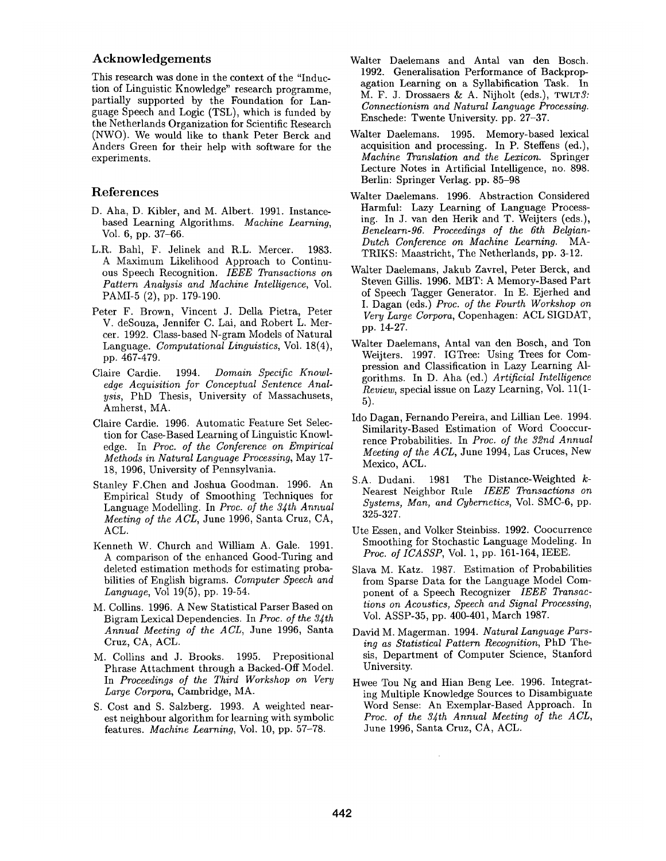## **Acknowledgements**

This research was done in the context of the "Induction of Linguistic Knowledge" research programme, partially supported by the Foundation for Language Speech and Logic (TSL), which is funded by the Netherlands Organization for Scientific Research (NWO). We would like to thank Peter Berck and Anders Green for their help with software for the experiments.

## References

- D. Aha, D. Kibler, and M. Albert. 1991. Instancebased Learning Algorithms. *Machine Learning,*  Vol. 6, pp. 37-66.
- L.R. Bahl, F. Jelinek and R.L. Mercer. 1983. A Maximum Likelihood Approach to Continuous Speech Recognition. *IEEE Transactions on Pattern Analysis and Machine Intelligence,* Vol. PAMI-5 (2), pp. 179-190.
- Peter F. Brown, Vincent J. Della Pietra, Peter V. deSouza, Jennifer C. Lai, and Robert L. Mercer. 1992. Class-based N-gram Models of Natural Language. *Computational Linguistics,* Vol. 18(4), pp. 467-479.
- Claire Cardie. 1994. *Domain Specific Knowledge Acquisition for Conceptual Sentence Analysis,* PhD Thesis, University of Massachusets, Amherst, MA.
- Claire Cardie. 1996. Automatic Feature Set Selection for Case-Based Learning of Linguistic Knowledge. In *Proc. of the Conference on Empirical Methods in Natural Language Processing,* May 17- 18, 1996, University of Pennsylvania.
- Stanley F.Chen and Joshua Goodman. 1996. An Empirical Study of Smoothing Techniques for Language Modelling. In *Proc. of the 34th Annual Meeting of the ACL,* June 1996, Santa Cruz, CA, ACL.
- Kenneth W. Church and William A. Gale. 1991. A comparison of the enhanced Good-Turing and deleted estimation methods for estimating probabilities of English bigrams. *Computer Speech and Language,* Vol 19(5), pp. 19-54.
- M. Collins. 1996. A New Statistical Parser Based on Bigram Lexical Dependencies. In *Proc. of the 34th Annual Meeting of the ACL,* June 1996, Santa Cruz, CA, ACL.
- M. Collins and J. Brooks. 1995. Prepositional Phrase Attachment through a Backed-Off Model. In *Proceedings of the Third Workshop on Very Large Corpora,* Cambridge, MA.
- S. Cost and S. Salzberg. 1993. A weighted nearest neighbour algorithm for learning with symbolic features. *Machine Learning,* Vol. 10, pp. 57-78.
- Walter Daelemans and Antal van den Bosch. 1992. Generalisation Performance of Backpropagation Learning on a Syllabification Task. In M. F. J. Drossaers & A. Nijholt (eds.), TWLT3: *Connectionism and Natural Language Processing.*  Enschede: Twente University. pp. 27-37.
- Walter Daelemans. 1995. Memory-based lexical acquisition and processing. In P. Steffens (ed.), *Machine Translation and the Lexicon.* Springer Lecture Notes in Artificial Intelligence, no. 898. Berlin: Springer Verlag. pp. 85-98
- Walter Daelemans. 1996. Abstraction Considered Harmful: Lazy Learning of Language Processing. In J. van den Herik and T. Weijters (eds.), *Benelearn-96. Proceedings of the 6th Belgian-Dutch Conference on Machine Learning.* MA-TRIKS: Maastricht, The Netherlands, pp. 3-12.
- Walter Daelemans, Jakub Zavrel, Peter Berck, and Steven Gillis. 1996. MBT: A Memory-Based Part of Speech Tagger Generator. In E. Ejerhed and I. Dagan (eds.) *Proc. of the Fourth Workshop on Very Large Corpora,* Copenhagen: ACL SIGDAT, pp. 14-27.
- Walter Daelemans, Antal van den Bosch, and Ton Weijters. 1997. IGTree: Using Trees for Compression and Classification in Lazy Learning Algorithms. In D. Aha (ed.) *Artificial Intelligence Review,* special issue on Lazy Learning, Vol. 11(1- 5).
- Ido Dagan, Fernando Pereira, and Lillian Lee. 1994. Similarity-Based Estimation of Word Cooccurfence Probabilities. In *Proc. of the 32nd Annual Meeting of the ACL,* June 1994, Las Cruces, New Mexico, ACL.
- S.A. Dudani. 1981 The Distance-Weighted k-Nearest Neighbor Rule *IEEE Transactions on Systems, Man, and Cybernetics,* Vol. SMC-6, pp. 325-327.
- Ute Essen, and Volker Steinbiss. 1992. Coocurrence Smoothing for Stochastic Language Modeling. In *Proc. of ICASSP*, Vol. 1, pp. 161-164, IEEE.
- Slava M. Katz. 1987. Estimation of Probabilities from Sparse Data for the Language Model Component of a Speech Recognizer *IEEE Transactions on Acoustics, Speech and Signal Processing,*  Vol. ASSP-35, pp. 400-401, March 1987.
- David M. Magerman. 1994. *Natural Language Parsing as Statistical Pattern Recognition,* PhD Thesis, Department of Computer Science, Stanford University.
- Hwee Tou Ng and Hian Beng Lee. 1996. Integrating Multiple Knowledge Sources to Disambiguate Word Sense: An Exemplar-Based Approach. In Proc. of the 34th Annual Meeting of the ACL, June 1996, Santa Cruz, CA, ACL.